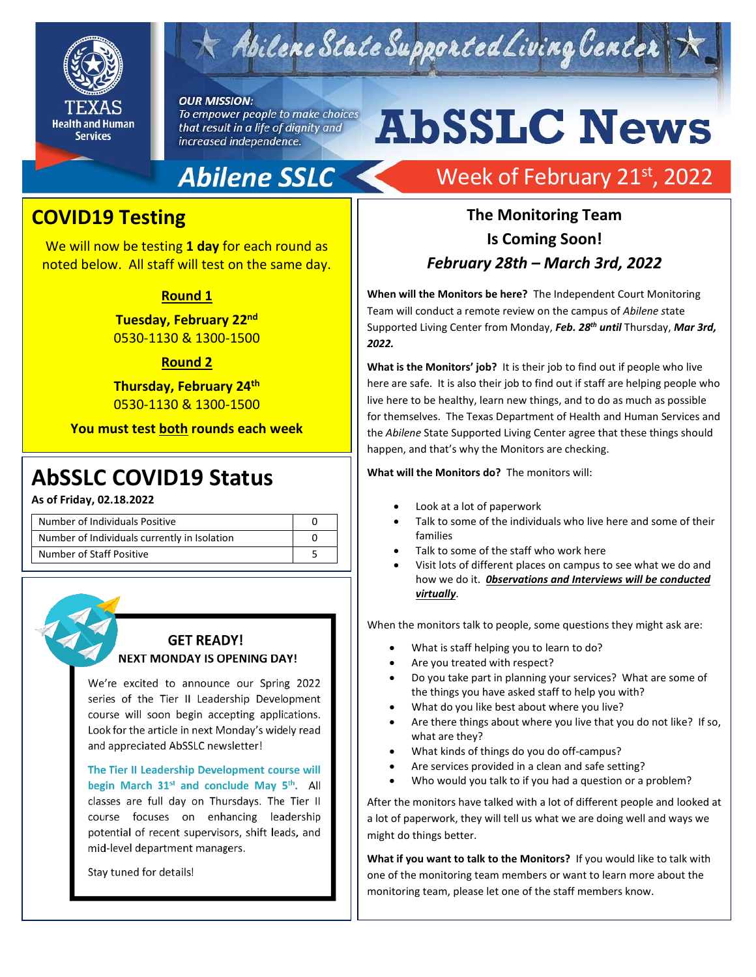

## $\star$  Abilene State Supported Living Center

#### **OUR MISSION:**

To empower people to make choices that result in a life of dignity and increased independence.

## **Abilene SSLC**

### **COVID19 Testing**

We will now be testing **1 day** for each round as noted below. All staff will test on the same day.

### **Round 1**

**Tuesday, February 22nd** 0530-1130 & 1300-1500

### **Round 2**

**Thursday, February 24th** 0530-1130 & 1300-1500

**You must test both rounds each week**

## 2019 **AbSSLC COVID19 Status**

**As of Friday, 02.18.2022**

| Number of Individuals Positive               |  |
|----------------------------------------------|--|
| Number of Individuals currently in Isolation |  |
| Number of Staff Positive                     |  |

### **GET READY! NEXT MONDAY IS OPENING DAY!**

We're excited to announce our Spring 2022 series of the Tier II Leadership Development course will soon begin accepting applications. Look for the article in next Monday's widely read and appreciated AbSSLC newsletter!

The Tier II Leadership Development course will begin March 31<sup>st</sup> and conclude May 5<sup>th</sup>. All classes are full day on Thursdays. The Tier II course focuses on enhancing leadership potential of recent supervisors, shift leads, and mid-level department managers.

Stay tuned for details!

# **AbSSLC News**

## Week of February 21st, 2022

### **The Monitoring Team Is Coming Soon!** *February 28th – March 3rd, 2022*

**When will the Monitors be here?** The Independent Court Monitoring Team will conduct a remote review on the campus of *Abilene s*tate Supported Living Center from Monday, *Feb. 28 th until* Thursday, *Mar 3rd, 2022.*

**What is the Monitors' job?** It is their job to find out if people who live here are safe. It is also their job to find out if staff are helping people who live here to be healthy, learn new things, and to do as much as possible for themselves. The Texas Department of Health and Human Services and the *Abilene* State Supported Living Center agree that these things should happen, and that's why the Monitors are checking.

**What will the Monitors do?** The monitors will:

- Look at a lot of paperwork
- Talk to some of the individuals who live here and some of their families
- Talk to some of the staff who work here
- Visit lots of different places on campus to see what we do and how we do it. *0bservations and Interviews will be conducted virtually*.

When the monitors talk to people, some questions they might ask are:

- What is staff helping you to learn to do?
- Are you treated with respect?
- Do you take part in planning your services? What are some of the things you have asked staff to help you with?
- What do you like best about where you live?
- Are there things about where you live that you do not like? If so, what are they?
- What kinds of things do you do off-campus?
- Are services provided in a clean and safe setting?
- Who would you talk to if you had a question or a problem?

After the monitors have talked with a lot of different people and looked at a lot of paperwork, they will tell us what we are doing well and ways we might do things better.

**What if you want to talk to the Monitors?** If you would like to talk with one of the monitoring team members or want to learn more about the monitoring team, please let one of the staff members know.